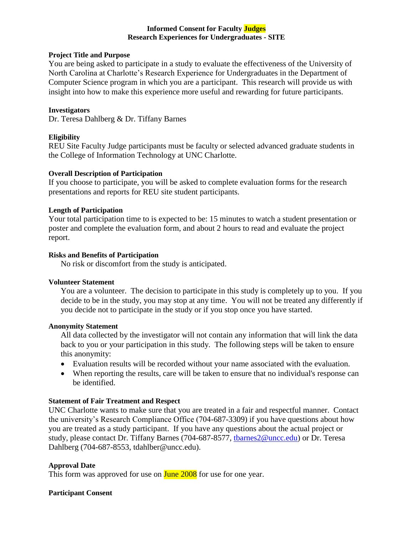# **Informed Consent for Faculty Judges Research Experiences for Undergraduates - SITE**

# **Project Title and Purpose**

You are being asked to participate in a study to evaluate the effectiveness of the University of North Carolina at Charlotte's Research Experience for Undergraduates in the Department of Computer Science program in which you are a participant. This research will provide us with insight into how to make this experience more useful and rewarding for future participants.

#### **Investigators**

Dr. Teresa Dahlberg & Dr. Tiffany Barnes

# **Eligibility**

REU Site Faculty Judge participants must be faculty or selected advanced graduate students in the College of Information Technology at UNC Charlotte.

## **Overall Description of Participation**

If you choose to participate, you will be asked to complete evaluation forms for the research presentations and reports for REU site student participants.

# **Length of Participation**

Your total participation time to is expected to be: 15 minutes to watch a student presentation or poster and complete the evaluation form, and about 2 hours to read and evaluate the project report.

#### **Risks and Benefits of Participation**

No risk or discomfort from the study is anticipated.

# **Volunteer Statement**

You are a volunteer. The decision to participate in this study is completely up to you. If you decide to be in the study, you may stop at any time. You will not be treated any differently if you decide not to participate in the study or if you stop once you have started.

## **Anonymity Statement**

All data collected by the investigator will not contain any information that will link the data back to you or your participation in this study. The following steps will be taken to ensure this anonymity:

- Evaluation results will be recorded without your name associated with the evaluation.
- When reporting the results, care will be taken to ensure that no individual's response can be identified.

# **Statement of Fair Treatment and Respect**

UNC Charlotte wants to make sure that you are treated in a fair and respectful manner. Contact the university's Research Compliance Office (704-687-3309) if you have questions about how you are treated as a study participant. If you have any questions about the actual project or study, please contact Dr. Tiffany Barnes (704-687-8577, [tbarnes2@uncc.edu\)](mailto:tbarnes2@uncc.edu) or Dr. Teresa Dahlberg (704-687-8553, tdahlber@uncc.edu).

# **Approval Date**

This form was approved for use on **June 2008** for use for one year.

## **Participant Consent**